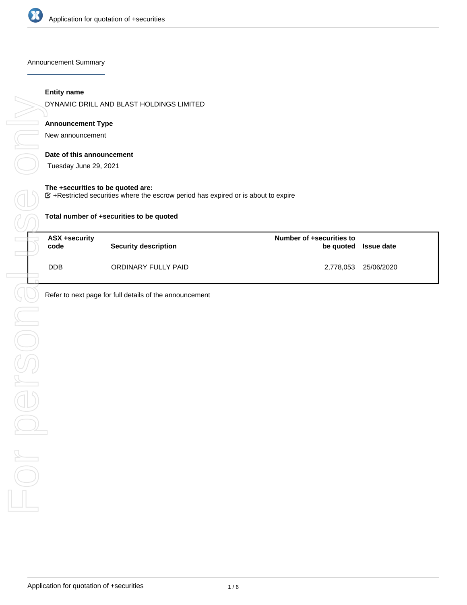

Announcement Summary

#### **Entity name**

DYNAMIC DRILL AND BLAST HOLDINGS LIMITED

# **Announcement Type**

New announcement

#### **Date of this announcement**

Tuesday June 29, 2021

#### **The +securities to be quoted are:**

 $E$  +Restricted securities where the escrow period has expired or is about to expire

| ASX +security<br>code | <b>Security description</b> | Number of +securities to | be quoted Issue date |
|-----------------------|-----------------------------|--------------------------|----------------------|
| <b>DDB</b>            | ORDINARY FULLY PAID         | 2,778,053                | 25/06/2020           |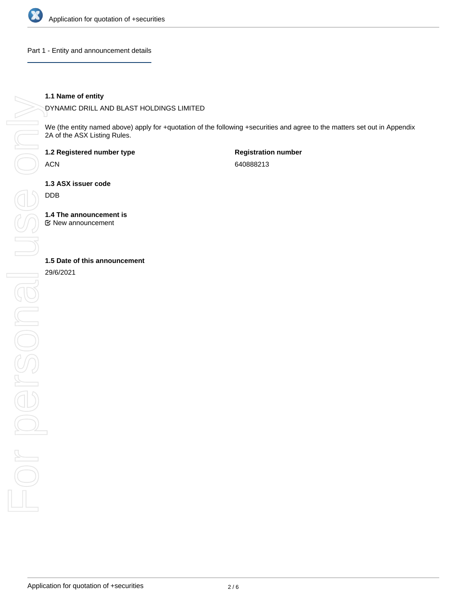

Part 1 - Entity and announcement details

### **1.1 Name of entity**

DYNAMIC DRILL AND BLAST HOLDINGS LIMITED

We (the entity named above) apply for +quotation of the following +securities and agree to the matters set out in Appendix 2A of the ASX Listing Rules.

**1.2 Registered number type**

ACN

**Registration number** 640888213

**1.3 ASX issuer code**

DDB

**1.4 The announcement is**

New announcement

29/6/2021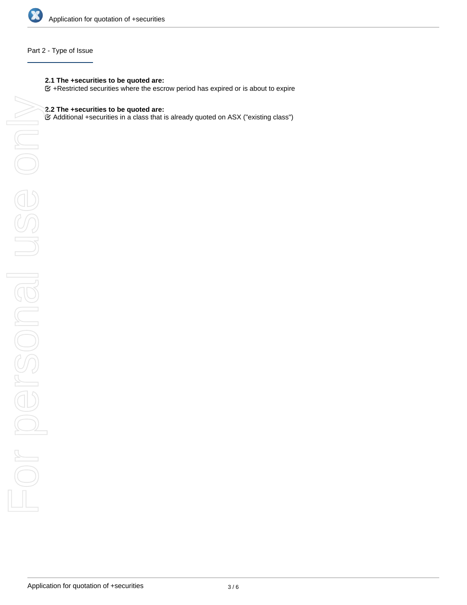

## Part 2 - Type of Issue

## **2.1 The +securities to be quoted are:**

 $G$  +Restricted securities where the escrow period has expired or is about to expire

# **2.2 The +securities to be quoted are:**

Additional +securities in a class that is already quoted on ASX ("existing class")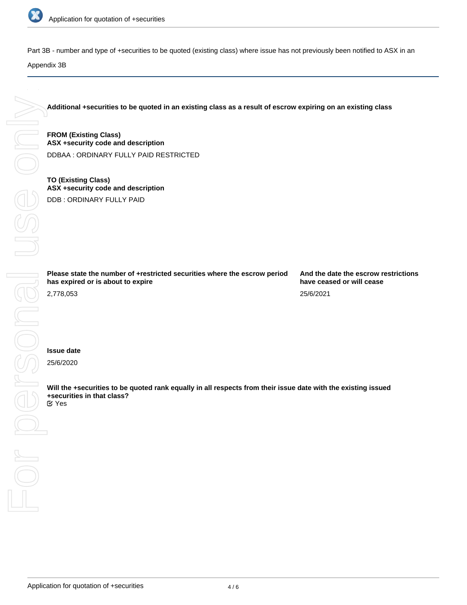

Part 3B - number and type of +securities to be quoted (existing class) where issue has not previously been notified to ASX in an

**Additional +securities to be quoted in an existing class as a result of escrow expiring on an existing class**

**FROM (Existing Class) ASX +security code and description** DDBAA : ORDINARY FULLY PAID RESTRICTED

**TO (Existing Class) ASX +security code and description** DDB : ORDINARY FULLY PAID

**Please state the number of +restricted securities where the escrow period**

**And the date the escrow restrictions have ceased or will cease** 25/6/2021

**Will the +securities to be quoted rank equally in all respects from their issue date with the existing issued +securities in that class?**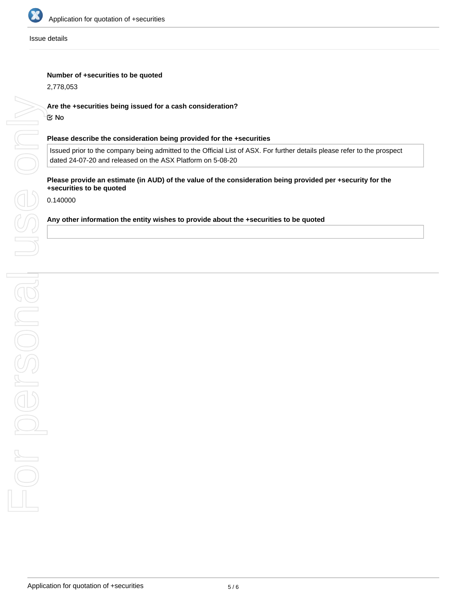

Issue details

## **Number of +securities to be quoted**

2,778,053

# **Are the +securities being issued for a cash consideration?**

No

#### **Please describe the consideration being provided for the +securities**

Issued prior to the company being admitted to the Official List of ASX. For further details please refer to the prospect dated 24-07-20 and released on the ASX Platform on 5-08-20

# **Please provide an estimate (in AUD) of the value of the consideration being provided per +security for the +securities to be quoted**

0.140000

### **Any other information the entity wishes to provide about the +securities to be quoted**